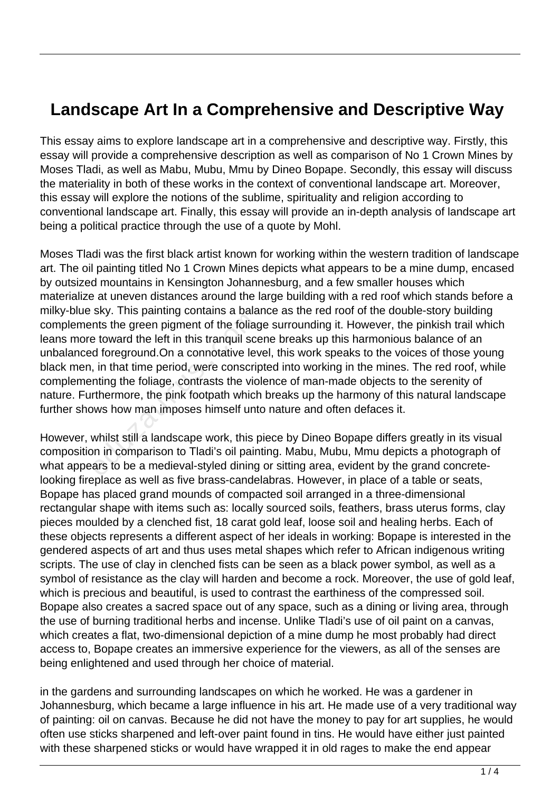## **Landscape Art In a Comprehensive and Descriptive Way**

This essay aims to explore landscape art in a comprehensive and descriptive way. Firstly, this essay will provide a comprehensive description as well as comparison of No 1 Crown Mines by Moses Tladi, as well as Mabu, Mubu, Mmu by Dineo Bopape. Secondly, this essay will discuss the materiality in both of these works in the context of conventional landscape art. Moreover, this essay will explore the notions of the sublime, spirituality and religion according to conventional landscape art. Finally, this essay will provide an in-depth analysis of landscape art being a political practice through the use of a quote by Mohl.

Moses Tladi was the first black artist known for working within the western tradition of landscape art. The oil painting titled No 1 Crown Mines depicts what appears to be a mine dump, encased by outsized mountains in Kensington Johannesburg, and a few smaller houses which materialize at uneven distances around the large building with a red roof which stands before a milky-blue sky. This painting contains a balance as the red roof of the double-story building complements the green pigment of the foliage surrounding it. However, the pinkish trail which leans more toward the left in this tranquil scene breaks up this harmonious balance of an unbalanced foreground.On a connotative level, this work speaks to the voices of those young black men, in that time period, were conscripted into working in the mines. The red roof, while complementing the foliage, contrasts the violence of man-made objects to the serenity of nature. Furthermore, the pink footpath which breaks up the harmony of this natural landscape further shows how man imposes himself unto nature and often defaces it. The presenting seriality of the foliagnt ints the green pigment of the foliagnt is dotoreground. On a connotative lever, in that time period, were conscripting the foliage, contrasts the vior or<br>thermore, the pink footpath

However, whilst still a landscape work, this piece by Dineo Bopape differs greatly in its visual composition in comparison to Tladi's oil painting. Mabu, Mubu, Mmu depicts a photograph of what appears to be a medieval-styled dining or sitting area, evident by the grand concretelooking fireplace as well as five brass-candelabras. However, in place of a table or seats, Bopape has placed grand mounds of compacted soil arranged in a three-dimensional rectangular shape with items such as: locally sourced soils, feathers, brass uterus forms, clay pieces moulded by a clenched fist, 18 carat gold leaf, loose soil and healing herbs. Each of these objects represents a different aspect of her ideals in working: Bopape is interested in the gendered aspects of art and thus uses metal shapes which refer to African indigenous writing scripts. The use of clay in clenched fists can be seen as a black power symbol, as well as a symbol of resistance as the clay will harden and become a rock. Moreover, the use of gold leaf, which is precious and beautiful, is used to contrast the earthiness of the compressed soil. Bopape also creates a sacred space out of any space, such as a dining or living area, through the use of burning traditional herbs and incense. Unlike Tladi's use of oil paint on a canvas, which creates a flat, two-dimensional depiction of a mine dump he most probably had direct access to, Bopape creates an immersive experience for the viewers, as all of the senses are being enlightened and used through her choice of material.

in the gardens and surrounding landscapes on which he worked. He was a gardener in Johannesburg, which became a large influence in his art. He made use of a very traditional way of painting: oil on canvas. Because he did not have the money to pay for art supplies, he would often use sticks sharpened and left-over paint found in tins. He would have either just painted with these sharpened sticks or would have wrapped it in old rages to make the end appear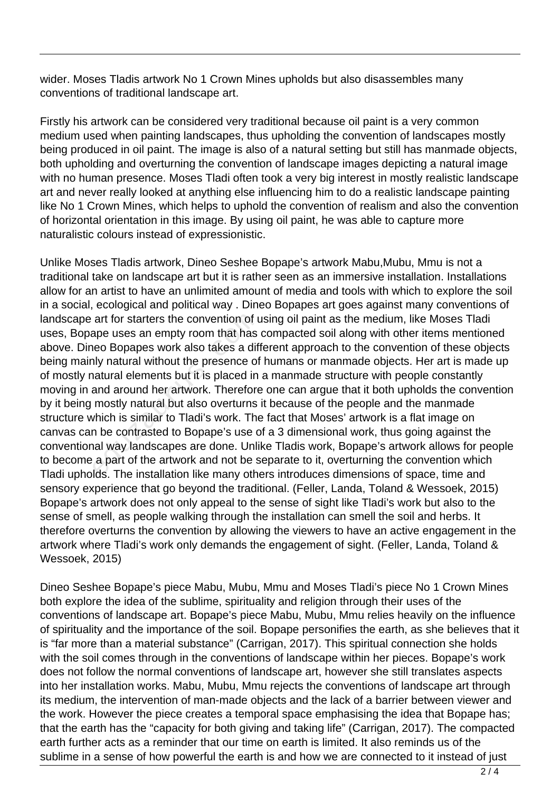wider. Moses Tladis artwork No 1 Crown Mines upholds but also disassembles many conventions of traditional landscape art.

Firstly his artwork can be considered very traditional because oil paint is a very common medium used when painting landscapes, thus upholding the convention of landscapes mostly being produced in oil paint. The image is also of a natural setting but still has manmade objects, both upholding and overturning the convention of landscape images depicting a natural image with no human presence. Moses Tladi often took a very big interest in mostly realistic landscape art and never really looked at anything else influencing him to do a realistic landscape painting like No 1 Crown Mines, which helps to uphold the convention of realism and also the convention of horizontal orientation in this image. By using oil paint, he was able to capture more naturalistic colours instead of expressionistic.

Unlike Moses Tladis artwork, Dineo Seshee Bopape's artwork Mabu,Mubu, Mmu is not a traditional take on landscape art but it is rather seen as an immersive installation. Installations allow for an artist to have an unlimited amount of media and tools with which to explore the soil in a social, ecological and political way . Dineo Bopapes art goes against many conventions of landscape art for starters the convention of using oil paint as the medium, like Moses Tladi uses, Bopape uses an empty room that has compacted soil along with other items mentioned above. Dineo Bopapes work also takes a different approach to the convention of these objects being mainly natural without the presence of humans or manmade objects. Her art is made up of mostly natural elements but it is placed in a manmade structure with people constantly moving in and around her artwork. Therefore one can argue that it both upholds the convention by it being mostly natural but also overturns it because of the people and the manmade structure which is similar to Tladi's work. The fact that Moses' artwork is a flat image on canvas can be contrasted to Bopape's use of a 3 dimensional work, thus going against the conventional way landscapes are done. Unlike Tladis work, Bopape's artwork allows for people to become a part of the artwork and not be separate to it, overturning the convention which Tladi upholds. The installation like many others introduces dimensions of space, time and sensory experience that go beyond the traditional. (Feller, Landa, Toland & Wessoek, 2015) Bopape's artwork does not only appeal to the sense of sight like Tladi's work but also to the sense of smell, as people walking through the installation can smell the soil and herbs. It therefore overturns the convention by allowing the viewers to have an active engagement in the artwork where Tladi's work only demands the engagement of sight. (Feller, Landa, Toland & Wessoek, 2015) art for starters the convention of u<br>ape uses an empty room that has<br>leo Bopapes work also takes a dif<br>lly natural without the presence of<br>latural elements but it is placed in<br>and around her artwork. Therefore<br>mostly natur

Dineo Seshee Bopape's piece Mabu, Mubu, Mmu and Moses Tladi's piece No 1 Crown Mines both explore the idea of the sublime, spirituality and religion through their uses of the conventions of landscape art. Bopape's piece Mabu, Mubu, Mmu relies heavily on the influence of spirituality and the importance of the soil. Bopape personifies the earth, as she believes that it is "far more than a material substance" (Carrigan, 2017). This spiritual connection she holds with the soil comes through in the conventions of landscape within her pieces. Bopape's work does not follow the normal conventions of landscape art, however she still translates aspects into her installation works. Mabu, Mubu, Mmu rejects the conventions of landscape art through its medium, the intervention of man-made objects and the lack of a barrier between viewer and the work. However the piece creates a temporal space emphasising the idea that Bopape has; that the earth has the "capacity for both giving and taking life" (Carrigan, 2017). The compacted earth further acts as a reminder that our time on earth is limited. It also reminds us of the sublime in a sense of how powerful the earth is and how we are connected to it instead of just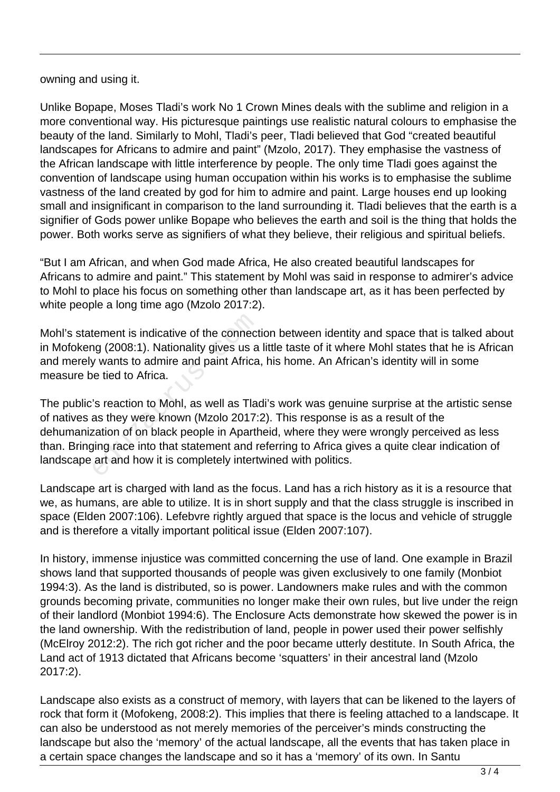owning and using it.

Unlike Bopape, Moses Tladi's work No 1 Crown Mines deals with the sublime and religion in a more conventional way. His picturesque paintings use realistic natural colours to emphasise the beauty of the land. Similarly to Mohl, Tladi's peer, Tladi believed that God "created beautiful landscapes for Africans to admire and paint" (Mzolo, 2017). They emphasise the vastness of the African landscape with little interference by people. The only time Tladi goes against the convention of landscape using human occupation within his works is to emphasise the sublime vastness of the land created by god for him to admire and paint. Large houses end up looking small and insignificant in comparison to the land surrounding it. Tladi believes that the earth is a signifier of Gods power unlike Bopape who believes the earth and soil is the thing that holds the power. Both works serve as signifiers of what they believe, their religious and spiritual beliefs.

"But I am African, and when God made Africa, He also created beautiful landscapes for Africans to admire and paint." This statement by Mohl was said in response to admirer's advice to Mohl to place his focus on something other than landscape art, as it has been perfected by white people a long time ago (Mzolo 2017:2).

Mohl's statement is indicative of the connection between identity and space that is talked about in Mofokeng (2008:1). Nationality gives us a little taste of it where Mohl states that he is African and merely wants to admire and paint Africa, his home. An African's identity will in some measure be tied to Africa.

The public's reaction to Mohl, as well as Tladi's work was genuine surprise at the artistic sense of natives as they were known (Mzolo 2017:2). This response is as a result of the dehumanization of on black people in Apartheid, where they were wrongly perceived as less than. Bringing race into that statement and referring to Africa gives a quite clear indication of landscape art and how it is completely intertwined with politics. tement is indicative of the connect<br>or (2008:1). Nationality gives us a<br>y wants to admire and paint Africa<br>e tied to Africa.<br>'s reaction to Mohl, as well as Tla<br>as they were known (Mzolo 2017:<br>zation of on black people in

Landscape art is charged with land as the focus. Land has a rich history as it is a resource that we, as humans, are able to utilize. It is in short supply and that the class struggle is inscribed in space (Elden 2007:106). Lefebvre rightly argued that space is the locus and vehicle of struggle and is therefore a vitally important political issue (Elden 2007:107).

In history, immense injustice was committed concerning the use of land. One example in Brazil shows land that supported thousands of people was given exclusively to one family (Monbiot 1994:3). As the land is distributed, so is power. Landowners make rules and with the common grounds becoming private, communities no longer make their own rules, but live under the reign of their landlord (Monbiot 1994:6). The Enclosure Acts demonstrate how skewed the power is in the land ownership. With the redistribution of land, people in power used their power selfishly (McElroy 2012:2). The rich got richer and the poor became utterly destitute. In South Africa, the Land act of 1913 dictated that Africans become 'squatters' in their ancestral land (Mzolo 2017:2).

Landscape also exists as a construct of memory, with layers that can be likened to the layers of rock that form it (Mofokeng, 2008:2). This implies that there is feeling attached to a landscape. It can also be understood as not merely memories of the perceiver's minds constructing the landscape but also the 'memory' of the actual landscape, all the events that has taken place in a certain space changes the landscape and so it has a 'memory' of its own. In Santu